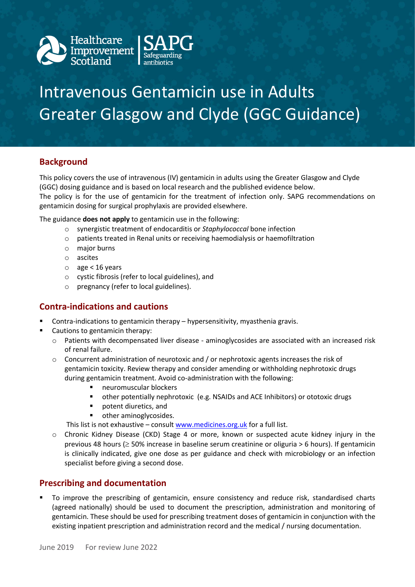

# Intravenous Gentamicin use in Adults Greater Glasgow and Clyde (GGC Guidance)

# **Background**

This policy covers the use of intravenous (IV) gentamicin in adults using the Greater Glasgow and Clyde (GGC) dosing guidance and is based on local research and the published evidence below. The policy is for the use of gentamicin for the treatment of infection only. SAPG recommendations on gentamicin dosing for surgical prophylaxis are provided elsewhere.

The guidance **does not apply** to gentamicin use in the following:

- o synergistic treatment of endocarditis or *Staphylococcal* bone infection
- o patients treated in Renal units or receiving haemodialysis or haemofiltration
- o major burns
- o ascites
- o age < 16 years
- o cystic fibrosis (refer to local guidelines), and
- o pregnancy (refer to local guidelines).

## **Contra-indications and cautions**

- Contra-indications to gentamicin therapy hypersensitivity, myasthenia gravis.
- Cautions to gentamicin therapy:
	- $\circ$  Patients with decompensated liver disease aminoglycosides are associated with an increased risk of renal failure.
	- o Concurrent administration of neurotoxic and / or nephrotoxic agents increases the risk of gentamicin toxicity. Review therapy and consider amending or withholding nephrotoxic drugs during gentamicin treatment. Avoid co-administration with the following:
		- neuromuscular blockers
		- other potentially nephrotoxic (e.g. NSAIDs and ACE Inhibitors) or ototoxic drugs
		- potent diuretics, and
		- other aminoglycosides.

This list is not exhaustive – consult [www.medicines.org.uk](http://www.medicines.org.uk/) for a full list.

o Chronic Kidney Disease (CKD) Stage 4 or more, known or suspected acute kidney injury in the previous 48 hours ( $\geq$  50% increase in baseline serum creatinine or oliguria > 6 hours). If gentamicin is clinically indicated, give one dose as per guidance and check with microbiology or an infection specialist before giving a second dose.

## **Prescribing and documentation**

 To improve the prescribing of gentamicin, ensure consistency and reduce risk, standardised charts (agreed nationally) should be used to document the prescription, administration and monitoring of gentamicin. These should be used for prescribing treatment doses of gentamicin in conjunction with the existing inpatient prescription and administration record and the medical / nursing documentation.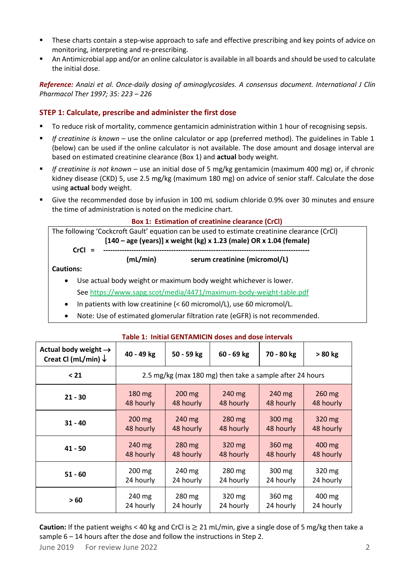- **These charts contain a step-wise approach to safe and effective prescribing and key points of advice on** monitoring, interpreting and re-prescribing.
- An Antimicrobial app and/or an online calculator is available in all boards and should be used to calculate the initial dose.

*Reference: Anaizi et al. Once-daily dosing of aminoglycosides. A consensus document. International J Clin Pharmacol Ther 1997; 35: 223 – 226*

## **STEP 1: Calculate, prescribe and administer the first dose**

- To reduce risk of mortality, commence gentamicin administration within 1 hour of recognising sepsis.
- *If creatinine is known* use the online calculator or app (preferred method). The guidelines in Table 1 (below) can be used if the online calculator is not available. The dose amount and dosage interval are based on estimated creatinine clearance (Box 1) and **actual** body weight.
- *If creatinine is not known* use an initial dose of 5 mg/kg gentamicin (maximum 400 mg) or, if chronic kidney disease (CKD) 5, use 2.5 mg/kg (maximum 180 mg) on advice of senior staff. Calculate the dose using **actual** body weight.
- Give the recommended dose by infusion in 100 mL sodium chloride 0.9% over 30 minutes and ensure the time of administration is noted on the medicine chart.

#### **Box 1: Estimation of creatinine clearance (CrCl)**

**(mL/min) serum creatinine (micromol/L)**

|                                                                      | The following 'Cockcroft Gault' equation can be used to estimate creatinine clearance (CrCl) |  |  |  |  |  |
|----------------------------------------------------------------------|----------------------------------------------------------------------------------------------|--|--|--|--|--|
| $[140 - age (years)]$ x weight (kg) x 1.23 (male) OR x 1.04 (female) |                                                                                              |  |  |  |  |  |
| $CrCl =$                                                             |                                                                                              |  |  |  |  |  |

**Cautions:** 

- Use actual body weight or maximum body weight whichever is lower. See<https://www.sapg.scot/media/4471/maximum-body-weight-table.pdf>
- In patients with low creatinine (< 60 micromol/L), use 60 micromol/L.
- Note: Use of estimated glomerular filtration rate (eGFR) is not recommended.

| Actual body weight $\rightarrow$<br>Creat Cl (mL/min) $\downarrow$ | 40 - 49 kg                                               | 50 - 59 kg       | $60 - 69$ kg     | 70 - 80 kg | $>80$ kg         |
|--------------------------------------------------------------------|----------------------------------------------------------|------------------|------------------|------------|------------------|
| $21$                                                               | 2.5 mg/kg (max 180 mg) then take a sample after 24 hours |                  |                  |            |                  |
| $21 - 30$                                                          | $180 \text{ mg}$                                         | 200 mg           | $240 \text{ mg}$ | 240 mg     | 260 mg           |
|                                                                    | 48 hourly                                                | 48 hourly        | 48 hourly        | 48 hourly  | 48 hourly        |
| $31 - 40$                                                          | $200 \text{ mg}$                                         | $240 \text{ mg}$ | 280 mg           | 300 mg     | $320 \text{ mg}$ |
|                                                                    | 48 hourly                                                | 48 hourly        | 48 hourly        | 48 hourly  | 48 hourly        |
| $41 - 50$                                                          | 240 mg                                                   | 280 mg           | 320 mg           | 360 mg     | 400 mg           |
|                                                                    | 48 hourly                                                | 48 hourly        | 48 hourly        | 48 hourly  | 48 hourly        |
| $51 - 60$                                                          | 200 mg                                                   | 240 mg           | 280 mg           | 300 mg     | 320 mg           |
|                                                                    | 24 hourly                                                | 24 hourly        | 24 hourly        | 24 hourly  | 24 hourly        |
| >60                                                                | 240 mg                                                   | 280 mg           | 320 mg           | 360 mg     | 400 mg           |
|                                                                    | 24 hourly                                                | 24 hourly        | 24 hourly        | 24 hourly  | 24 hourly        |

#### **Table 1: Initial GENTAMICIN doses and dose intervals**

**Caution:** If the patient weighs < 40 kg and CrCl is  $\geq$  21 mL/min, give a single dose of 5 mg/kg then take a sample 6 – 14 hours after the dose and follow the instructions in Step 2.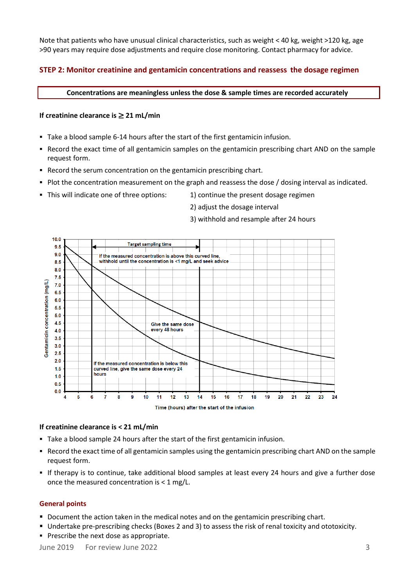Note that patients who have unusual clinical characteristics, such as weight < 40 kg, weight >120 kg, age >90 years may require dose adjustments and require close monitoring. Contact pharmacy for advice.

## **STEP 2: Monitor creatinine and gentamicin concentrations and reassess the dosage regimen**

**Concentrations are meaningless unless the dose & sample times are recorded accurately**

#### **If creatinine clearance is** ≥ **21 mL/min**

- Take a blood sample 6-14 hours after the start of the first gentamicin infusion.
- Record the exact time of all gentamicin samples on the gentamicin prescribing chart AND on the sample request form.
- Record the serum concentration on the gentamicin prescribing chart.
- Plot the concentration measurement on the graph and reassess the dose / dosing interval as indicated.
- $\blacksquare$  This will indicate one of three options:  $\blacksquare$  1) continue the present dosage regimen
	- 2) adjust the dosage interval
	- 3) withhold and resample after 24 hours



#### **If creatinine clearance is < 21 mL/min**

- Take a blood sample 24 hours after the start of the first gentamicin infusion.
- Record the exact time of all gentamicin samples using the gentamicin prescribing chart AND on the sample request form.
- If therapy is to continue, take additional blood samples at least every 24 hours and give a further dose once the measured concentration is < 1 mg/L.

#### **General points**

- Document the action taken in the medical notes and on the gentamicin prescribing chart.
- Undertake pre-prescribing checks (Boxes 2 and 3) to assess the risk of renal toxicity and ototoxicity.
- **Prescribe the next dose as appropriate.**

June 2019 For review June 2022 3